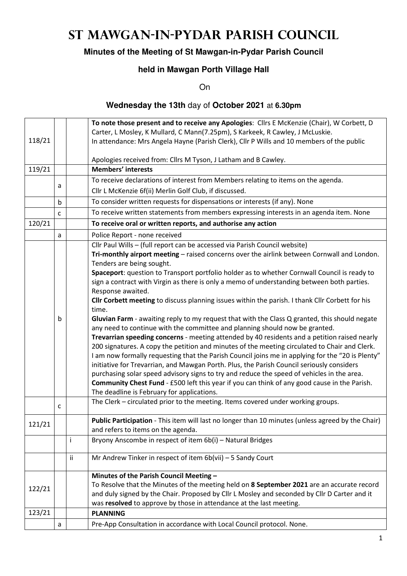# **St Mawgan-in-Pydar Parish Council**

## **Minutes of the Meeting of St Mawgan-in-Pydar Parish Council**

## **held in Mawgan Porth Village Hall**

On

#### **Wednesday the 13th** day of **October 2021** at **6.30pm**

|        |             |    | To note those present and to receive any Apologies: Cllrs E McKenzie (Chair), W Corbett, D        |  |  |  |
|--------|-------------|----|---------------------------------------------------------------------------------------------------|--|--|--|
|        |             |    | Carter, L Mosley, K Mullard, C Mann(7.25pm), S Karkeek, R Cawley, J McLuskie.                     |  |  |  |
| 118/21 |             |    | In attendance: Mrs Angela Hayne (Parish Clerk), Cllr P Wills and 10 members of the public         |  |  |  |
|        |             |    | Apologies received from: Cllrs M Tyson, J Latham and B Cawley.                                    |  |  |  |
| 119/21 |             |    | <b>Members' interests</b>                                                                         |  |  |  |
|        |             |    | To receive declarations of interest from Members relating to items on the agenda.                 |  |  |  |
|        | a           |    | Cllr L McKenzie 6f(ii) Merlin Golf Club, if discussed.                                            |  |  |  |
|        | $\mathsf b$ |    | To consider written requests for dispensations or interests (if any). None                        |  |  |  |
|        | C           |    | To receive written statements from members expressing interests in an agenda item. None           |  |  |  |
| 120/21 |             |    | To receive oral or written reports, and authorise any action                                      |  |  |  |
|        | a           |    | Police Report - none received                                                                     |  |  |  |
|        |             |    | Cllr Paul Wills - (full report can be accessed via Parish Council website)                        |  |  |  |
|        |             |    | Tri-monthly airport meeting - raised concerns over the airlink between Cornwall and London.       |  |  |  |
|        |             |    | Tenders are being sought.                                                                         |  |  |  |
|        |             |    | Spaceport: question to Transport portfolio holder as to whether Cornwall Council is ready to      |  |  |  |
|        |             |    | sign a contract with Virgin as there is only a memo of understanding between both parties.        |  |  |  |
|        |             |    | Response awaited.                                                                                 |  |  |  |
|        |             |    | Cllr Corbett meeting to discuss planning issues within the parish. I thank Cllr Corbett for his   |  |  |  |
|        |             |    | time.                                                                                             |  |  |  |
|        | b           |    | Gluvian Farm - awaiting reply to my request that with the Class Q granted, this should negate     |  |  |  |
|        |             |    | any need to continue with the committee and planning should now be granted.                       |  |  |  |
|        |             |    | Trevarrian speeding concerns - meeting attended by 40 residents and a petition raised nearly      |  |  |  |
|        |             |    | 200 signatures. A copy the petition and minutes of the meeting circulated to Chair and Clerk.     |  |  |  |
|        |             |    | I am now formally requesting that the Parish Council joins me in applying for the "20 is Plenty"  |  |  |  |
|        |             |    | initiative for Trevarrian, and Mawgan Porth. Plus, the Parish Council seriously considers         |  |  |  |
|        |             |    | purchasing solar speed advisory signs to try and reduce the speed of vehicles in the area.        |  |  |  |
|        |             |    | Community Chest Fund - £500 left this year if you can think of any good cause in the Parish.      |  |  |  |
|        |             |    | The deadline is February for applications.                                                        |  |  |  |
|        | C           |    | The Clerk - circulated prior to the meeting. Items covered under working groups.                  |  |  |  |
|        |             |    | Public Participation - This item will last no longer than 10 minutes (unless agreed by the Chair) |  |  |  |
| 121/21 |             |    | and refers to items on the agenda.                                                                |  |  |  |
|        |             | i. | Bryony Anscombe in respect of item 6b(i) - Natural Bridges                                        |  |  |  |
|        |             | ii | Mr Andrew Tinker in respect of item $6b(vii) - 5$ Sandy Court                                     |  |  |  |
|        |             |    |                                                                                                   |  |  |  |
|        |             |    | Minutes of the Parish Council Meeting -                                                           |  |  |  |
| 122/21 |             |    | To Resolve that the Minutes of the meeting held on 8 September 2021 are an accurate record        |  |  |  |
|        |             |    | and duly signed by the Chair. Proposed by Cllr L Mosley and seconded by Cllr D Carter and it      |  |  |  |
|        |             |    | was resolved to approve by those in attendance at the last meeting.                               |  |  |  |
| 123/21 |             |    | <b>PLANNING</b>                                                                                   |  |  |  |
|        | a           |    | Pre-App Consultation in accordance with Local Council protocol. None.                             |  |  |  |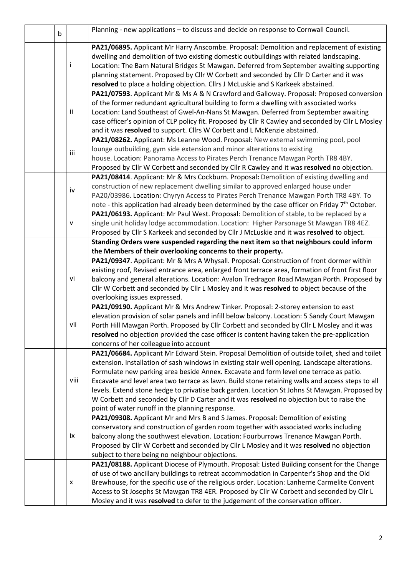| $\mathsf b$ |              | Planning - new applications - to discuss and decide on response to Cornwall Council.                                                                                                                                                                                                                                                                                                                                                                                                                                                                                                                                                           |  |  |
|-------------|--------------|------------------------------------------------------------------------------------------------------------------------------------------------------------------------------------------------------------------------------------------------------------------------------------------------------------------------------------------------------------------------------------------------------------------------------------------------------------------------------------------------------------------------------------------------------------------------------------------------------------------------------------------------|--|--|
| Ť           |              | PA21/06895. Applicant Mr Harry Anscombe. Proposal: Demolition and replacement of existing<br>dwelling and demolition of two existing domestic outbuildings with related landscaping.<br>Location: The Barn Natural Bridges St Mawgan. Deferred from September awaiting supporting<br>planning statement. Proposed by Cllr W Corbett and seconded by Cllr D Carter and it was<br>resolved to place a holding objection. Cllrs J McLuskie and S Karkeek abstained.                                                                                                                                                                               |  |  |
|             | ii           | PA21/07593. Applicant Mr & Ms A & N Crawford and Galloway. Proposal: Proposed conversion<br>of the former redundant agricultural building to form a dwelling with associated works<br>Location: Land Southeast of Gwel-An-Nans St Mawgan. Deferred from September awaiting<br>case officer's opinion of CLP policy fit. Proposed by Cllr R Cawley and seconded by Cllr L Mosley<br>and it was resolved to support. Cllrs W Corbett and L McKenzie abstained.                                                                                                                                                                                   |  |  |
|             | iii          | PA21/08262. Applicant: Ms Leanne Wood. Proposal: New external swimming pool, pool<br>lounge outbuilding, gym side extension and minor alterations to existing<br>house. Location: Panorama Access to Pirates Perch Trenance Mawgan Porth TR8 4BY.<br>Proposed by Cllr W Corbett and seconded by Cllr R Cawley and it was resolved no objection.                                                                                                                                                                                                                                                                                                |  |  |
|             | iv           | PA21/08414. Applicant: Mr & Mrs Cockburn. Proposal: Demolition of existing dwelling and<br>construction of new replacement dwelling similar to approved enlarged house under<br>PA20/03986. Location: Chyryn Access to Pirates Perch Trenance Mawgan Porth TR8 4BY. To<br>note - this application had already been determined by the case officer on Friday 7th October.                                                                                                                                                                                                                                                                       |  |  |
|             | $\mathsf{V}$ | PA21/06193. Applicant: Mr Paul West. Proposal: Demolition of stable, to be replaced by a<br>single unit holiday lodge accommodation. Location: Higher Parsonage St Mawgan TR8 4EZ.<br>Proposed by Cllr S Karkeek and seconded by Cllr J McLuskie and it was resolved to object.                                                                                                                                                                                                                                                                                                                                                                |  |  |
|             |              | Standing Orders were suspended regarding the next item so that neighbours could inform                                                                                                                                                                                                                                                                                                                                                                                                                                                                                                                                                         |  |  |
|             |              | the Members of their overlooking concerns to their property.                                                                                                                                                                                                                                                                                                                                                                                                                                                                                                                                                                                   |  |  |
|             | vi           | PA21/09347. Applicant: Mr & Mrs A Whysall. Proposal: Construction of front dormer within<br>existing roof, Revised entrance area, enlarged front terrace area, formation of front first floor<br>balcony and general alterations. Location: Avalon Tredragon Road Mawgan Porth. Proposed by<br>Cllr W Corbett and seconded by Cllr L Mosley and it was resolved to object because of the<br>overlooking issues expressed.                                                                                                                                                                                                                      |  |  |
|             | vii          | PA21/09190. Applicant Mr & Mrs Andrew Tinker. Proposal: 2-storey extension to east<br>elevation provision of solar panels and infill below balcony. Location: 5 Sandy Court Mawgan<br>Porth Hill Mawgan Porth. Proposed by Cllr Corbett and seconded by Cllr L Mosley and it was<br>resolved no objection provided the case officer is content having taken the pre-application<br>concerns of her colleague into account                                                                                                                                                                                                                      |  |  |
|             | viii         | PA21/06684. Applicant Mr Edward Stein. Proposal Demolition of outside toilet, shed and toilet<br>extension. Installation of sash windows in existing stair well opening. Landscape alterations.<br>Formulate new parking area beside Annex. Excavate and form level one terrace as patio.<br>Excavate and level area two terrace as lawn. Build stone retaining walls and access steps to all<br>levels. Extend stone hedge to privatise back garden. Location St Johns St Mawgan. Proposed by<br>W Corbett and seconded by Cllr D Carter and it was resolved no objection but to raise the<br>point of water runoff in the planning response. |  |  |
|             | ix           | PA21/09308. Applicant Mr and Mrs B and S James. Proposal: Demolition of existing<br>conservatory and construction of garden room together with associated works including<br>balcony along the southwest elevation. Location: Fourburrows Trenance Mawgan Porth.<br>Proposed by Cllr W Corbett and seconded by Cllr L Mosley and it was resolved no objection<br>subject to there being no neighbour objections.                                                                                                                                                                                                                               |  |  |
|             | x            | PA21/08188. Applicant Diocese of Plymouth. Proposal: Listed Building consent for the Change<br>of use of two ancillary buildings to retreat accommodation in Carpenter's Shop and the Old<br>Brewhouse, for the specific use of the religious order. Location: Lanherne Carmelite Convent<br>Access to St Josephs St Mawgan TR8 4ER. Proposed by Cllr W Corbett and seconded by Cllr L<br>Mosley and it was resolved to defer to the judgement of the conservation officer.                                                                                                                                                                    |  |  |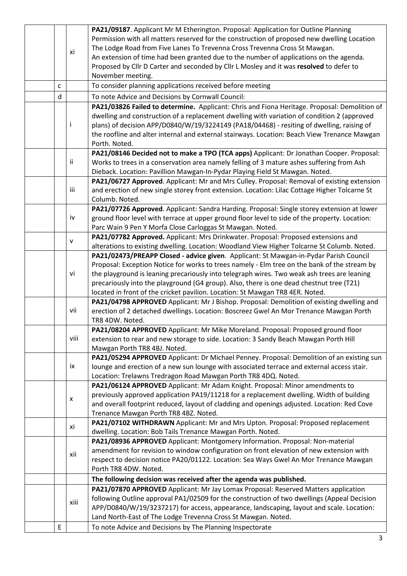|   |      | PA21/09187. Applicant Mr M Etherington. Proposal: Application for Outline Planning             |  |
|---|------|------------------------------------------------------------------------------------------------|--|
|   |      | Permission with all matters reserved for the construction of proposed new dwelling Location    |  |
|   |      | The Lodge Road from Five Lanes To Trevenna Cross Trevenna Cross St Mawgan.                     |  |
|   | xi   | An extension of time had been granted due to the number of applications on the agenda.         |  |
|   |      | Proposed by Cllr D Carter and seconded by Cllr L Mosley and it was resolved to defer to        |  |
|   |      | November meeting.                                                                              |  |
| C |      | To consider planning applications received before meeting                                      |  |
| d |      | To note Advice and Decisions by Cornwall Council:                                              |  |
|   |      | PA21/03826 Failed to determine. Applicant: Chris and Fiona Heritage. Proposal: Demolition of   |  |
|   |      | dwelling and construction of a replacement dwelling with variation of condition 2 (approved    |  |
|   | I    | plans) of decision APP/D0840/W/19/3224149 (PA18/04468) - resiting of dwelling, raising of      |  |
|   |      | the roofline and alter internal and external stairways. Location: Beach View Trenance Mawgan   |  |
|   |      | Porth. Noted.                                                                                  |  |
|   |      | PA21/08146 Decided not to make a TPO (TCA apps) Applicant: Dr Jonathan Cooper. Proposal:       |  |
|   | ii   | Works to trees in a conservation area namely felling of 3 mature ashes suffering from Ash      |  |
|   |      | Dieback. Location: Pavillion Mawgan-In-Pydar Playing Field St Mawgan. Noted.                   |  |
|   |      | PA21/06727 Approved. Applicant: Mr and Mrs Culley. Proposal: Removal of existing extension     |  |
|   | iii  | and erection of new single storey front extension. Location: Lilac Cottage Higher Tolcarne St  |  |
|   |      | Columb. Noted.                                                                                 |  |
|   |      | PA21/07726 Approved. Applicant: Sandra Harding. Proposal: Single storey extension at lower     |  |
|   | iv   | ground floor level with terrace at upper ground floor level to side of the property. Location: |  |
|   |      | Parc Wain 9 Pen Y Morfa Close Carloggas St Mawgan. Noted.                                      |  |
|   |      | PA21/07782 Approved. Applicant: Mrs Drinkwater. Proposal: Proposed extensions and              |  |
|   | v    | alterations to existing dwelling. Location: Woodland View Higher Tolcarne St Columb. Noted.    |  |
|   |      | PA21/02473/PREAPP Closed - advice given. Applicant: St Mawgan-in-Pydar Parish Council          |  |
|   |      | Proposal: Exception Notice for works to trees namely - Elm tree on the bank of the stream by   |  |
|   | vi   | the playground is leaning precariously into telegraph wires. Two weak ash trees are leaning    |  |
|   |      | precariously into the playground (G4 group). Also, there is one dead chestnut tree (T21)       |  |
|   |      | located in front of the cricket pavilion. Location: St Mawgan TR8 4ER. Noted.                  |  |
|   |      | PA21/04798 APPROVED Applicant: Mr J Bishop. Proposal: Demolition of existing dwelling and      |  |
|   | vii  | erection of 2 detached dwellings. Location: Boscreez Gwel An Mor Trenance Mawgan Porth         |  |
|   |      | TR8 4DW. Noted.                                                                                |  |
|   |      | PA21/08204 APPROVED Applicant: Mr Mike Moreland. Proposal: Proposed ground floor               |  |
|   | viii | extension to rear and new storage to side. Location: 3 Sandy Beach Mawgan Porth Hill           |  |
|   |      | Mawgan Porth TR8 4BJ. Noted.                                                                   |  |
|   |      | PA21/05294 APPROVED Applicant: Dr Michael Penney. Proposal: Demolition of an existing sun      |  |
|   | ix   | lounge and erection of a new sun lounge with associated terrace and external access stair.     |  |
|   |      | Location: Trelawns Tredragon Road Mawgan Porth TR8 4DQ. Noted.                                 |  |
|   |      | PA21/06124 APPROVED Applicant: Mr Adam Knight. Proposal: Minor amendments to                   |  |
|   |      | previously approved application PA19/11218 for a replacement dwelling. Width of building       |  |
|   | x    | and overall footprint reduced, layout of cladding and openings adjusted. Location: Red Cove    |  |
|   |      | Trenance Mawgan Porth TR8 4BZ. Noted.                                                          |  |
|   |      | PA21/07102 WITHDRAWN Applicant: Mr and Mrs Upton. Proposal: Proposed replacement               |  |
|   | xi   | dwelling. Location: Bob Tails Trenance Mawgan Porth. Noted.                                    |  |
|   |      | PA21/08936 APPROVED Applicant: Montgomery Information. Proposal: Non-material                  |  |
|   | xii  | amendment for revision to window configuration on front elevation of new extension with        |  |
|   |      | respect to decision notice PA20/01122. Location: Sea Ways Gwel An Mor Trenance Mawgan          |  |
|   |      | Porth TR8 4DW. Noted.                                                                          |  |
|   |      | The following decision was received after the agenda was published.                            |  |
|   |      | PA21/07870 APPROVED Applicant: Mr Jay Lomax Proposal: Reserved Matters application             |  |
|   | xiii | following Outline approval PA1/02509 for the construction of two dwellings (Appeal Decision    |  |
|   |      | APP/D0840/W/19/3237217) for access, appearance, landscaping, layout and scale. Location:       |  |
|   |      | Land North-East of The Lodge Trevenna Cross St Mawgan. Noted.                                  |  |
| E |      | To note Advice and Decisions by The Planning Inspectorate                                      |  |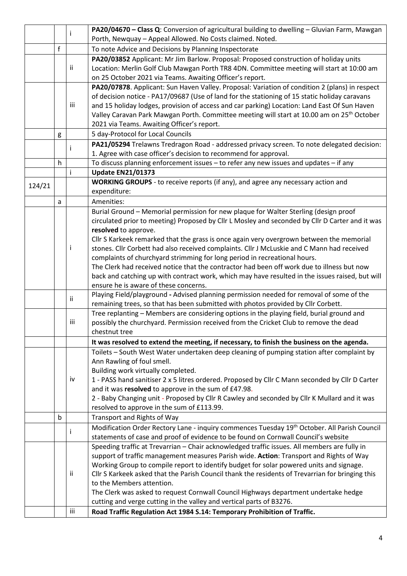|        |              |     | PA20/04670 - Class Q: Conversion of agricultural building to dwelling - Gluvian Farm, Mawgan             |  |  |  |
|--------|--------------|-----|----------------------------------------------------------------------------------------------------------|--|--|--|
|        |              |     | Porth, Newquay - Appeal Allowed. No Costs claimed. Noted.                                                |  |  |  |
|        | $\mathsf{f}$ |     | To note Advice and Decisions by Planning Inspectorate                                                    |  |  |  |
|        |              |     | PA20/03852 Applicant: Mr Jim Barlow. Proposal: Proposed construction of holiday units                    |  |  |  |
|        |              | ij. | Location: Merlin Golf Club Mawgan Porth TR8 4DN. Committee meeting will start at 10:00 am                |  |  |  |
|        |              |     | on 25 October 2021 via Teams. Awaiting Officer's report.                                                 |  |  |  |
|        |              |     | PA20/07878. Applicant: Sun Haven Valley. Proposal: Variation of condition 2 (plans) in respect           |  |  |  |
|        |              |     | of decision notice - PA17/09687 (Use of land for the stationing of 15 static holiday caravans            |  |  |  |
|        |              | iii | and 15 holiday lodges, provision of access and car parking) Location: Land East Of Sun Haven             |  |  |  |
|        |              |     | Valley Caravan Park Mawgan Porth. Committee meeting will start at 10.00 am on 25 <sup>th</sup> October   |  |  |  |
|        |              |     | 2021 via Teams. Awaiting Officer's report.                                                               |  |  |  |
|        | g            |     | 5 day-Protocol for Local Councils                                                                        |  |  |  |
|        |              |     | PA21/05294 Trelawns Tredragon Road - addressed privacy screen. To note delegated decision:               |  |  |  |
|        |              |     | 1. Agree with case officer's decision to recommend for approval.                                         |  |  |  |
|        | h            |     | To discuss planning enforcement issues - to refer any new issues and updates - if any                    |  |  |  |
|        |              |     | <b>Update EN21/01373</b>                                                                                 |  |  |  |
| 124/21 |              |     | WORKING GROUPS - to receive reports (if any), and agree any necessary action and<br>expenditure:         |  |  |  |
|        |              |     | Amenities:                                                                                               |  |  |  |
|        | a            |     | Burial Ground - Memorial permission for new plaque for Walter Sterling (design proof                     |  |  |  |
|        |              |     | circulated prior to meeting) Proposed by Cllr L Mosley and seconded by Cllr D Carter and it was          |  |  |  |
|        |              |     | resolved to approve.                                                                                     |  |  |  |
|        |              |     | Cllr S Karkeek remarked that the grass is once again very overgrown between the memorial                 |  |  |  |
|        |              |     | stones. Cllr Corbett had also received complaints. Cllr J McLuskie and C Mann had received               |  |  |  |
|        |              |     | complaints of churchyard strimming for long period in recreational hours.                                |  |  |  |
|        |              |     | The Clerk had received notice that the contractor had been off work due to illness but now               |  |  |  |
|        |              |     | back and catching up with contract work, which may have resulted in the issues raised, but will          |  |  |  |
|        |              |     | ensure he is aware of these concerns.                                                                    |  |  |  |
|        |              | ij  | Playing Field/playground - Advised planning permission needed for removal of some of the                 |  |  |  |
|        |              |     | remaining trees, so that has been submitted with photos provided by Cllr Corbett.                        |  |  |  |
|        |              |     | Tree replanting - Members are considering options in the playing field, burial ground and                |  |  |  |
|        |              | iii | possibly the churchyard. Permission received from the Cricket Club to remove the dead                    |  |  |  |
|        |              |     | chestnut tree                                                                                            |  |  |  |
|        |              |     | It was resolved to extend the meeting, if necessary, to finish the business on the agenda.               |  |  |  |
|        |              |     | Toilets - South West Water undertaken deep cleaning of pumping station after complaint by                |  |  |  |
|        |              |     | Ann Rawling of foul smell.<br>Building work virtually completed.                                         |  |  |  |
|        |              | iv  | 1 - PASS hand sanitiser 2 x 5 litres ordered. Proposed by Cllr C Mann seconded by Cllr D Carter          |  |  |  |
|        |              |     | and it was resolved to approve in the sum of £47.98.                                                     |  |  |  |
|        |              |     | 2 - Baby Changing unit - Proposed by Cllr R Cawley and seconded by Cllr K Mullard and it was             |  |  |  |
|        |              |     | resolved to approve in the sum of £113.99.                                                               |  |  |  |
|        | b            |     | Transport and Rights of Way                                                                              |  |  |  |
|        |              |     | Modification Order Rectory Lane - inquiry commences Tuesday 19 <sup>th</sup> October. All Parish Council |  |  |  |
|        |              |     | statements of case and proof of evidence to be found on Cornwall Council's website                       |  |  |  |
|        |              |     | Speeding traffic at Trevarrian - Chair acknowledged traffic issues. All members are fully in             |  |  |  |
|        |              |     | support of traffic management measures Parish wide. Action: Transport and Rights of Way                  |  |  |  |
|        |              |     | Working Group to compile report to identify budget for solar powered units and signage.                  |  |  |  |
|        |              | Ϊİ  | Cllr S Karkeek asked that the Parish Council thank the residents of Trevarrian for bringing this         |  |  |  |
|        |              |     | to the Members attention.                                                                                |  |  |  |
|        |              |     | The Clerk was asked to request Cornwall Council Highways department undertake hedge                      |  |  |  |
|        |              |     | cutting and verge cutting in the valley and vertical parts of B3276.                                     |  |  |  |
|        |              | iii | Road Traffic Regulation Act 1984 S.14: Temporary Prohibition of Traffic.                                 |  |  |  |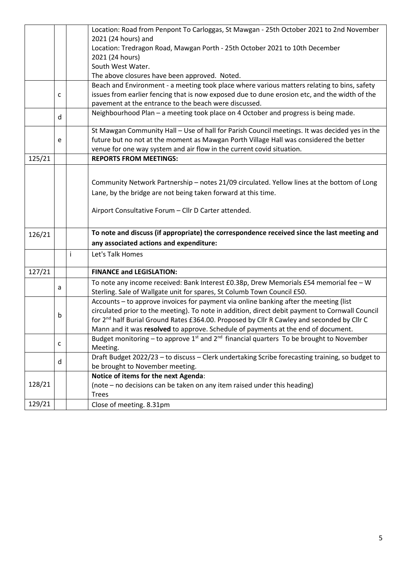|        |   |                                                       | Location: Road from Penpont To Carloggas, St Mawgan - 25th October 2021 to 2nd November                |  |  |  |  |  |
|--------|---|-------------------------------------------------------|--------------------------------------------------------------------------------------------------------|--|--|--|--|--|
|        |   |                                                       | 2021 (24 hours) and                                                                                    |  |  |  |  |  |
|        |   |                                                       | Location: Tredragon Road, Mawgan Porth - 25th October 2021 to 10th December                            |  |  |  |  |  |
|        |   |                                                       | 2021 (24 hours)                                                                                        |  |  |  |  |  |
|        |   |                                                       | South West Water.                                                                                      |  |  |  |  |  |
|        |   |                                                       | The above closures have been approved. Noted.                                                          |  |  |  |  |  |
|        |   |                                                       | Beach and Environment - a meeting took place where various matters relating to bins, safety            |  |  |  |  |  |
|        | C |                                                       | issues from earlier fencing that is now exposed due to dune erosion etc, and the width of the          |  |  |  |  |  |
|        |   | pavement at the entrance to the beach were discussed. |                                                                                                        |  |  |  |  |  |
|        | d |                                                       | Neighbourhood Plan - a meeting took place on 4 October and progress is being made.                     |  |  |  |  |  |
|        |   |                                                       | St Mawgan Community Hall - Use of hall for Parish Council meetings. It was decided yes in the          |  |  |  |  |  |
|        | e |                                                       | future but no not at the moment as Mawgan Porth Village Hall was considered the better                 |  |  |  |  |  |
|        |   |                                                       | venue for one way system and air flow in the current covid situation.                                  |  |  |  |  |  |
| 125/21 |   |                                                       | <b>REPORTS FROM MEETINGS:</b>                                                                          |  |  |  |  |  |
|        |   |                                                       |                                                                                                        |  |  |  |  |  |
|        |   |                                                       | Community Network Partnership - notes 21/09 circulated. Yellow lines at the bottom of Long             |  |  |  |  |  |
|        |   |                                                       | Lane, by the bridge are not being taken forward at this time.                                          |  |  |  |  |  |
|        |   |                                                       |                                                                                                        |  |  |  |  |  |
|        |   |                                                       | Airport Consultative Forum - Cllr D Carter attended.                                                   |  |  |  |  |  |
|        |   |                                                       |                                                                                                        |  |  |  |  |  |
| 126/21 |   |                                                       | To note and discuss (if appropriate) the correspondence received since the last meeting and            |  |  |  |  |  |
|        |   |                                                       | any associated actions and expenditure:                                                                |  |  |  |  |  |
|        |   | j.                                                    | Let's Talk Homes                                                                                       |  |  |  |  |  |
|        |   |                                                       |                                                                                                        |  |  |  |  |  |
| 127/21 |   |                                                       | <b>FINANCE and LEGISLATION:</b>                                                                        |  |  |  |  |  |
|        |   |                                                       | To note any income received: Bank Interest £0.38p, Drew Memorials £54 memorial fee - W                 |  |  |  |  |  |
|        | a |                                                       | Sterling. Sale of Wallgate unit for spares, St Columb Town Council £50.                                |  |  |  |  |  |
|        |   |                                                       | Accounts - to approve invoices for payment via online banking after the meeting (list                  |  |  |  |  |  |
|        |   |                                                       | circulated prior to the meeting). To note in addition, direct debit payment to Cornwall Council        |  |  |  |  |  |
|        | b |                                                       | for 2 <sup>nd</sup> half Burial Ground Rates £364.00. Proposed by Cllr R Cawley and seconded by Cllr C |  |  |  |  |  |
|        |   |                                                       | Mann and it was resolved to approve. Schedule of payments at the end of document.                      |  |  |  |  |  |
|        |   |                                                       | Budget monitoring – to approve $1^{st}$ and $2^{nd}$ financial quarters To be brought to November      |  |  |  |  |  |
| C      |   |                                                       | Meeting.                                                                                               |  |  |  |  |  |
|        |   |                                                       | Draft Budget 2022/23 - to discuss - Clerk undertaking Scribe forecasting training, so budget to        |  |  |  |  |  |
|        | d |                                                       | be brought to November meeting.                                                                        |  |  |  |  |  |
|        |   |                                                       | Notice of items for the next Agenda:                                                                   |  |  |  |  |  |
| 128/21 |   |                                                       | (note – no decisions can be taken on any item raised under this heading)                               |  |  |  |  |  |
|        |   |                                                       | <b>Trees</b>                                                                                           |  |  |  |  |  |
| 129/21 |   |                                                       | Close of meeting. 8.31pm                                                                               |  |  |  |  |  |